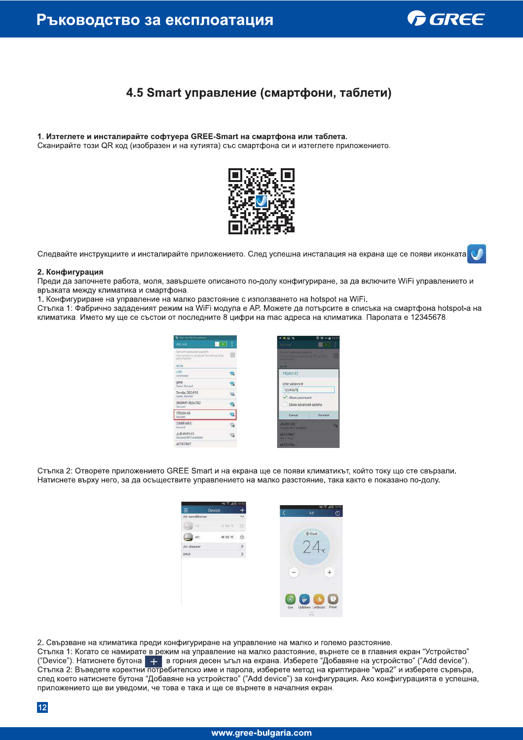

# 4.5 Smart управление (смартфони, таблети)

# 1. Изтеглете и инсталирайте софтуера GREE-Smart на смартфона или таблета.

Сканирайте този QR код (изобразен и на кутията) със смартфона си и изтеглете приложението.



Следвайте инструкциите и инсталирайте приложението. След успешна инсталация на екрана ще се появи иконката

#### 2. Конфигурация

Преди да започнете работа, моля, завършете описаното по-долу конфигуриране, за да включите WiFi управлението и връзката между климатика и смартфона.

1. Конфигуриране на управление на малко разстояние с използването на hotspot на WiFi.

Стъпка 1: Фабрично зададеният режим на WiFi модула е AP. Можете да потърсите в списъка на смартфона hotspot-а на климатика. Името му ще се състои от последните 8 цифри на mac адреса на климатика. Паролата е 12345678.

| C Sign HIS WLATENHOOR                                                                  |   | $-0.07$                                                                                                         | <b>2 X 334 1521</b> |  |
|----------------------------------------------------------------------------------------|---|-----------------------------------------------------------------------------------------------------------------|---------------------|--|
| WE AN<br>$\mathcal{F}$<br>×                                                            |   | WEAR                                                                                                            |                     |  |
| Smart network switch<br>This Sendon is turned off. No Still card has<br>been inserted. |   | System that work switch and such a<br>TALL ELECTARY WITH ANY ARE STAR card from<br><b>CONTRACTOR</b> CONTRACTOR |                     |  |
| WLAN                                                                                   |   | <b>Voltage</b>                                                                                                  |                     |  |
| <b>HW</b><br>Cornected                                                                 | 9 | 7f200143                                                                                                        |                     |  |
| gree:<br>Revel Recurred                                                                | R | Enter password<br>12345678<br>Show password                                                                     |                     |  |
| Tenda 36EA10<br><b>Sirvest Secured</b>                                                 | 帚 |                                                                                                                 |                     |  |
| 350WiFi 60A782<br>Secured                                                              | € | Show advanced options                                                                                           |                     |  |
| 7f200143<br><b>Securind</b>                                                            | € | Cancel                                                                                                          | Connect             |  |
| <b>GREEMES</b><br>Secured                                                              | ę | <b>JSJZX-DS</b><br><b>GELDED WITH HARASHI</b>                                                                   |                     |  |
| JJB-WIFI-01<br>Secured (WPS available)                                                 | ₩ | 10787467<br><b><i>SEALER FRAGE</i></b>                                                                          |                     |  |
| a0787467                                                                               |   | a078746c                                                                                                        |                     |  |

Стъпка 2: Отворете приложението GREE Smart и на екрана ще се появи климатикът, който току що сте свързали. Натиснете върху него, за да осъществите управлението на малко разстояние, така както е показано по-долу.

|                   | (let)<br>道畫 | 10.53        |
|-------------------|-------------|--------------|
| Ξ                 | Device      | ٠            |
| Air conditioner   |             | $\checkmark$ |
| AG                | # 28 ℃      | b            |
| $\Lambda\hbox{C}$ | @25℃        | $\circ$      |
| Air cleaner       |             | 5            |
| DNA               |             | ž.           |
|                   |             |              |
|                   |             |              |
|                   |             |              |
|                   |             |              |
|                   |             |              |
|                   |             |              |
|                   |             |              |

2. Свързване на климатика преди конфигуриране на управление на малко и големо разстояние.

2. Образано на миниатика преди конфигурирано на управление на малко и толемо разстояние.<br>Стъпка 1: Когато се намирате в режим на управление на малко разстояние, върнете се в главния екран "Устройство"<br>("Device"). Натиснет след което натиснете бутона "Добавяне на устройство" ("Add device") за конфигурация. Ако конфигурацията е успешна, приложението ще ви уведоми, че това е така и ще се върнете в началния екран.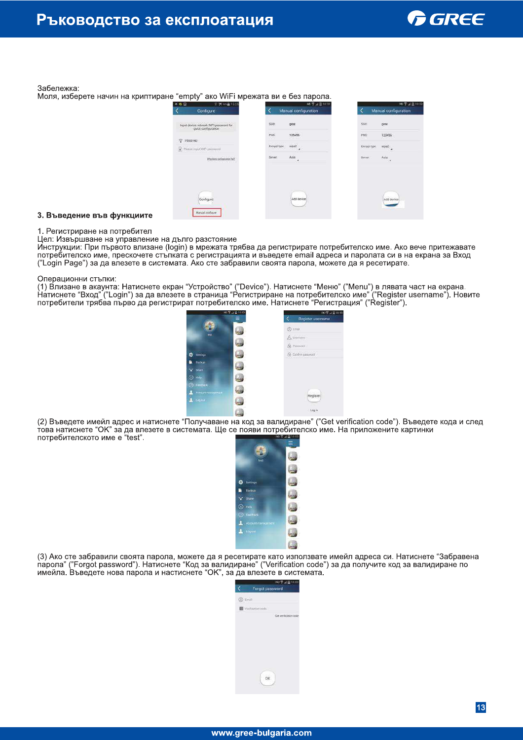

Забележка:

Моля, изберете начин на криптиране "empty" ако WiFi мрежата ви е без парола.

| <b>三万5m自15:25</b><br>e                                        | NU学习显10:32                                                                                            | <b>NUT JUTE</b>                                         |
|---------------------------------------------------------------|-------------------------------------------------------------------------------------------------------|---------------------------------------------------------|
| Configure                                                     | Manual configuration                                                                                  | Manual configuration                                    |
| Input device network WIFI password for<br>quick configuration | gree<br>SSID:                                                                                         | gree<br>SSID                                            |
| for bought the sense<br>71200143                              | 123456<br>PWD.<br>na<br><b>CONTRACT</b>                                                               | 3.503<br>123456<br>PWD.<br><b>MA</b><br><b>ANY AREA</b> |
| <b>C</b> Please Input WIFI password                           | <b>ALL ARRAY</b><br><b>CONTRACT</b><br>wpa2 $\overline{\phantom{a}}$<br>Entrypt type:<br><b>TPOTI</b> | <b>PERMIT</b><br>Encyptiype<br>wpa2                     |
| Why does purelegation fail?<br>a Vermanns ann an              | Asia<br>Server.<br>×<br>œ                                                                             | Asia<br>Server:<br>×.                                   |
|                                                               |                                                                                                       |                                                         |
|                                                               |                                                                                                       |                                                         |
| Configure                                                     | Add device                                                                                            | Add device                                              |
| Manual configure                                              |                                                                                                       |                                                         |
|                                                               |                                                                                                       |                                                         |

## 3. Въведение във функциите

1. Регистриране на потребител

Цел: Извършване на управление на дълго разстояние

Инструкции: При първото влизане (login) в мрежата трябва да регистрирате потребителско име. Ако вече притежавате ипотрукции: три първото влизане (togin) в мрежата трибва да региотрирате потребителемо име. Амо вече притежава<br>потребителско име, прескочете стъпката с регистрацията и въведете email адреса и паролата си в на екрана за Вх

#### Операционни стъпки:

операционни стъпки.<br>(1) Влизане в акаунта: Натиснете екран "Устройство" ("Device"). Натиснете "Меню" ("Мепu") в лявата част на екрана.<br>Натиснете "Вход" ("Login") за да влезете в страница "Регистриране на потребителско име

|                                            | <b>M3 S at</b><br>■ 1553 | 90% 41099<br>Register username          |
|--------------------------------------------|--------------------------|-----------------------------------------|
| test                                       |                          | @ times<br><b>A</b> Unemanne            |
| Settings<br>o<br>Backup)                   |                          | G Patroint<br><b>Q</b> Confirm password |
| Share<br>Help)<br>Θ                        |                          |                                         |
| Freuesck<br>ര<br>Ассыл тарданы<br>L tequir |                          | Register                                |
|                                            |                          | Login                                   |

(2) Въведете имейл адрес и натиснете "Получаване на код за валидиране" ("Get verification code"). Въведете кода и след това натиснете "ОК" за да влезете в системата. Ще се появи потребителско име. На приложените картинки<br>потребителското име е "test".



(3) Ако сте забравили своята парола, можете да я ресетирате като използвате имейл адреса си. Натиснете "Забравена парола" ("Forgot password"). Натиснете "Код за валидиране" ("Verification code") за да получите код за валидиране по имейла. Въведете нова парола и настиснете "ОК", за да влезете в системата.

| Forgot password   | <b>PAT 3 M E 10.00</b> |
|-------------------|------------------------|
| (D) Email         |                        |
| Verification code |                        |
|                   | Get verfication code   |
|                   |                        |
|                   |                        |
|                   |                        |
|                   |                        |
|                   |                        |
|                   |                        |
|                   |                        |
|                   |                        |
|                   |                        |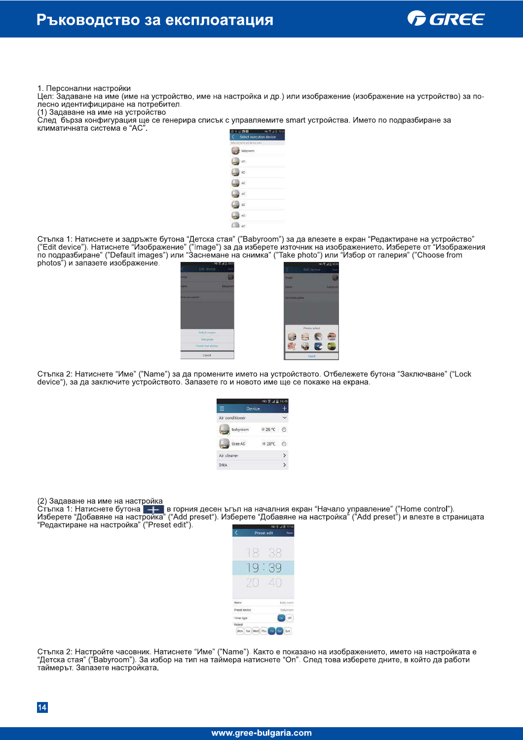

1. Персонални настройки

Цел: Задаване на име (име на устройство, име на настройка и др.) или изображение (изображение на устройство) за полесно идентифициране на потребител.

(1) Задаване на име на устройство

След бърза конфигурация ще се генерира списък с управляемите smart устройства. Името по подразбиране за климатичната система е "АС".

| ②ショコ目                           | n. |
|---------------------------------|----|
| <b>Select execution device</b>  |    |
| The article of AMA And science. |    |
| u<br>ś<br>TOOI                  |    |
|                                 |    |
| AC.                             |    |
|                                 |    |
|                                 |    |
|                                 |    |
|                                 |    |
| a.                              |    |
|                                 |    |

Стъпка 1: Натиснете и задръжте бутона "Детска стая" ("Babyroom") за да влезете в екран "Редактиране на устройство"<br>("Edit device"). Натиснете "Изображение" ("Image") за да изберете източник на изображението. Изберете от " photos") и запазете изображение.



Стъпка 2: Натиснете "Име" ("Name") за да промените името на устройството. Отбележете бутона "Заключване" ("Lock device"), за да заключите устройството. Запазете го и новото име ще се покаже на екрана.

|                 | Device |               |
|-----------------|--------|---------------|
| Air conditioner |        |               |
| babyroom        |        | $5^{\circ}$ C |
| Gree            |        | * 28°C        |
| Air cleaner     |        |               |
| <b>DNA</b>      |        |               |

(2) Задаване на име на настройка

у судадалиста иму на настроима.<br>Стъпка 1: Натиснете бутона Нартия десен ъгъл на началния екран "Начало управление" ("Home control").<br>Изберете "Добавяне на настройка" ("Add preset"). Изберете "Добавяне на настройка" ("Add



Стъпка 2: Настройте часовник. Натиснете "Име" ("Name"). Както е показано на изображението, името на настройката е "Детска стая" ("Babyroom"). За избор на тип на таймера натиснете "Оп". След това изберете дните, в който да работи таймерът. Запазете настройката.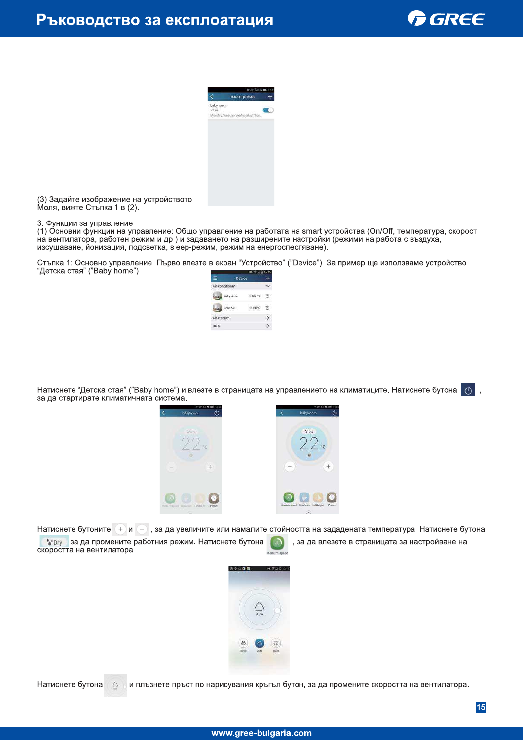



(3) Задайте изображение на устройството Моля, вижте Стъпка 1 в (2).

### 3. Функции за управление

(1) Основни функции на управление: Общо управление на работата на smart устройства (On/Off, температура, скорост на вентилатора, работен режим и др.) и задаването на разширените настройки (режими на работа с въздуха, изсушаване, йонизация, подсветка, sleep-режим, режим на енергоспестяване).

Стъпка 1: Основно управление. Първо влезте в екран "Устройство" ("Device"). За пример ще използваме устройство<br>"Детска стая" ("Baby home").



Натиснете "Детска стая" ("Baby home") и влезте в страницата на управлението на климатиците. Натиснете бутона (1) за да стартирате климатичната система.



Натиснете бутоните (+) и (-), за да увеличите или намалите стойността на зададената температура. Натиснете бутона • Dry за да промените работния режим. Натиснете бутона  $\mathbb{R}$ , за да влезете в страницата за настройване на скоростта на вентилатора.



Натиснете бутона  $\overline{\mathbb{O}}$  и плъзнете пръст по нарисувания кръгъл бутон, за да промените скоростта на вентилатора.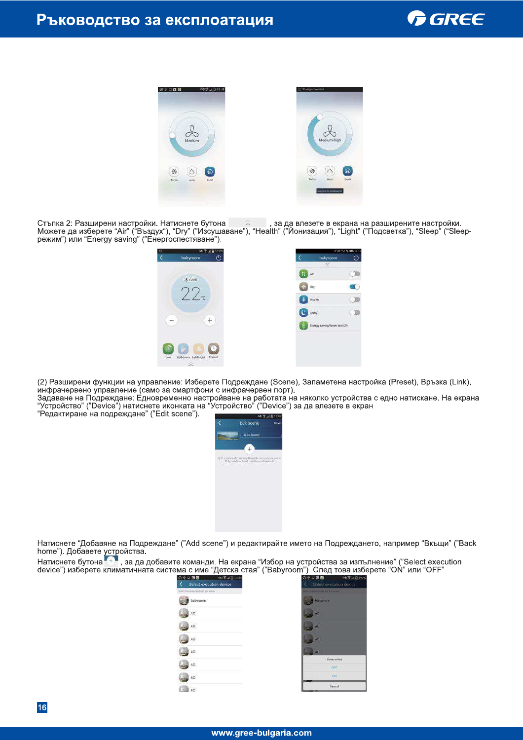



Стъпка 2: Разширени настройки. Натиснете бутона <u>до да при за да влезете в екрана на разширените настройки.</u><br>Можете да изберете "Air" ("Въздух"), "Dry" ("Изсушаване"), "Health" ("Йонизация"), "Light" ("Подсветка"), "Slee



(2) Разширени функции на управление: Изберете Подреждане (Scene), Запаметена настройка (Preset), Връзка (Link),

(2) газыирени функции на управление. изоерете подреждане (осепе), запаметена настроика (гтезет), връзка (спит),<br>инфрачервено управление (само за смартфони с инфрачервен порт).<br>Задаване на Подреждане: Едновременно настройв



Натиснете "Добавяне на Подреждане" ("Add scene") и редактирайте името на Подреждането, например "Вкъщи" ("Back написность досможность подготовления и последниками и при страниции и достройства за изпълнение" ("Select execution<br>Натиснете бутона + , за да добавите команди. На екрана "Избор на устройства за изпълнение" ("Select execu

device") изберете климатичната система с име "Детска стая" ("Babyroom"). След това изберете "ON" или "OFF".

| (40 字 正白 19:44<br>◎十三四回                                        | (4) 学习自19:45<br>◎中国国国                                         |
|----------------------------------------------------------------|---------------------------------------------------------------|
| Select execution device<br>Telection drylot and add t to scene | Select execution device<br>three are developed and a response |
| babyroom                                                       | <b>B</b> babyroom                                             |
| <b>AC</b>                                                      | AC                                                            |
| $\overline{\text{AC}}$                                         | <b>AC</b>                                                     |
| AC                                                             | Ac                                                            |
| AC.                                                            | AG.                                                           |
| AC.                                                            | Please select<br><b>NONE</b><br>OFF.                          |
| AC                                                             | öit                                                           |
| <b>ATTEN DOOR</b>                                              | Cancel                                                        |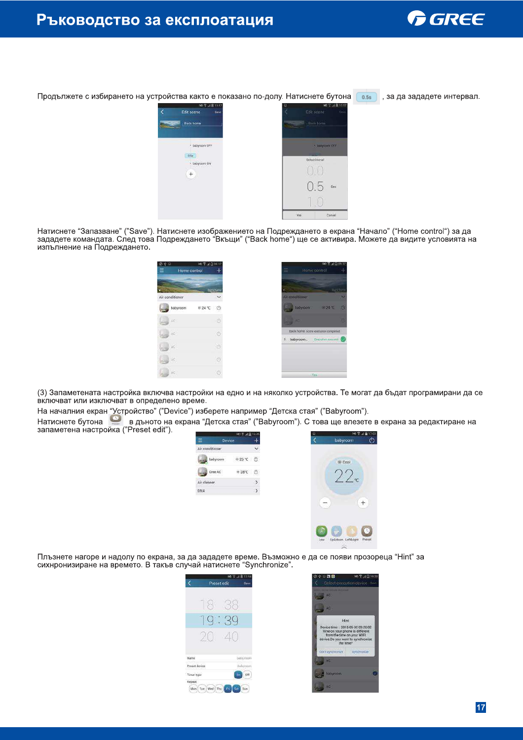

Продължете с избирането на устройства както е показано по-долу. Натиснете бутона [0.55], за да зададете интервал.



Натиснете "Запазване" ("Save"). Натиснете изображението на Подреждането в екрана "Начало" ("Home control") за да зададете командата. След това Подреждането "Вкъщи" ("Back home") ще се активира. Можете да видите условията на изпълнение на Подреждането.

| 市田            | <b>INLE 4 0 09:17</b> |                  |
|---------------|-----------------------|------------------|
| Home control  |                       |                  |
|               |                       | <b>Back home</b> |
| r conditioner |                       | $\sim$           |
| babyroom.     | 18 24 ℃               | $\circ$          |
| AC)           |                       | Ø                |
| AG.           |                       | Ö                |
| AC            |                       | $\alpha$         |
| Ac.           |                       | $\circ$          |
| AC.           |                       | 10               |

(3) Запаметената настройка включва настройки на едно и на няколко устройства. Те могат да бъдат програмирани да се включват или изключват в определено време.

На началния екран "Устройство" ("Device") изберете например "Детска стая" ("Babyroom").<br>Натиснете бутона Варьното на екрана "Детска стая" ("Babyroom"). С това ще влезете в екрана за редактиране на<br>запаметена настройка ("P

|                 | NU 3 通信 16:45      |               | E.   |                    | NUTLA # 17.03 |
|-----------------|--------------------|---------------|------|--------------------|---------------|
| Ξ               | Device             | $\,{}^+$      |      | babyroom           | O             |
| Air conditioner |                    | $\checkmark$  |      |                    |               |
| babyroom        | $*25$ $\mathbb{C}$ | O             |      | 米 Cool             |               |
| Gree AC         | ® 28℃              | O             |      |                    |               |
| Air cleaner     |                    | $\rightarrow$ |      | or.                |               |
| <b>DNA</b>      |                    | $\,$          |      |                    |               |
|                 |                    |               | men. |                    | $\pm$         |
|                 |                    |               |      |                    |               |
|                 |                    |               | Low  | Up&down Left&right | Preset        |
|                 |                    |               |      | œ                  |               |

Плъзнете нагоре и надолу по екрана, за да зададете време. Възможно е да се появи прозореца "Hint" за сихнронизиране на времето. В такъв случай натиснете "Synchronize".

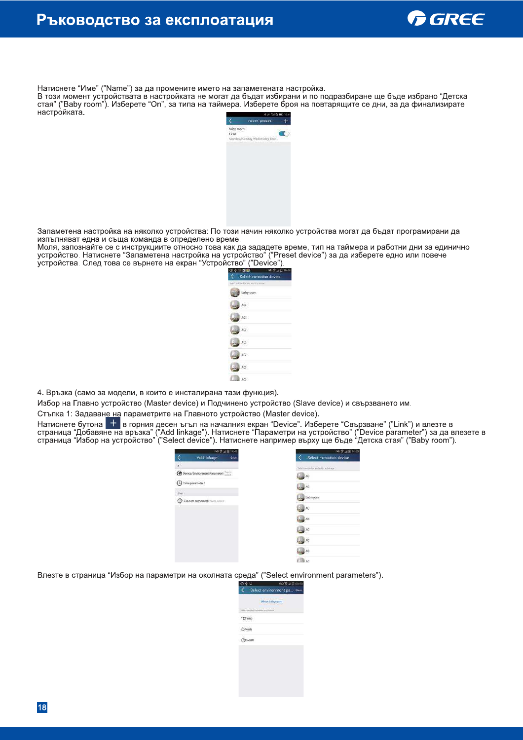

Натиснете "Име" ("Name") за да промените името на запаметената настройка.

- натисить с типе (стане ) за да прешените ишете на санашетелата настрежка.<br>В този момент устройствата в настройката не могат да бъдат избирани и по подразбиране ще бъде избрано "Детска<br>стая" ("Baby room"). Изберете "On", настройката.



Запаметена настройка на няколко устройства: По този начин няколко устройства могат да бъдат програмирани да изпълняват една и съща команда в определено време.

тальничест една и съща команда в определено време.<br>Моля, запознайте се с инструкциите относно това как да зададете време, тип на таймера и работни дни за единично<br>устройство. Натиснете "Запаметена настройка на устройство"

| 国内局<br>2.10100                        |
|---------------------------------------|
| Select execution device               |
| and save period and job! it to assist |
| babyroom                              |
|                                       |
| AC.                                   |
| c                                     |
| c                                     |
| AC.                                   |
|                                       |
| AC.                                   |

4. Връзка (само за модели, в които е инсталирана тази функция).

Избор на Главно устройство (Master device) и Подчинено устройство (Slave device) и свързването им.

Стъпка 1: Задаване на параметрите на Главното устройство (Master device).

ствика т. оддаване на наравстрите на главнете устрепение (инасел на т.е., ).<br>Натиснете бутона | + | в горния десен ъгъл на началния екран "Device". Изберете "Свързване" ("Link") и влезте в<br>страница "Добавяне на връзка" ("

| 140 学业图 140时                   | 100 学 通言 14:50                           |
|--------------------------------|------------------------------------------|
| Add linkage<br>Save.           | Select execution device                  |
|                                | Select one phone and edicities believe : |
| Device/Environment Parameter/  | AC                                       |
| Time parameter/<br>€₽          | AC                                       |
| then.                          | babyroom                                 |
| Execute command/ lag to select |                                          |
|                                | <b>AC</b>                                |
|                                | AC AC                                    |
|                                | AC                                       |
|                                | $AC$                                     |
|                                | AC                                       |
|                                | Lille AC                                 |

Влезте в страница "Избор на параметри на околната среда" ("Select environment parameters").

| œ             | noti<br>3.40<br>08.50                                         |
|---------------|---------------------------------------------------------------|
|               | Select environment pa Save                                    |
|               | <b>CASH-HOST MINER</b><br>When babyroons<br><b>March 1990</b> |
|               | Telephone and additional experience of                        |
| Terno<br>za v |                                                               |
|               |                                                               |
| <b>HOVAC</b>  |                                                               |
|               |                                                               |
|               |                                                               |
|               |                                                               |
|               |                                                               |
|               |                                                               |
|               |                                                               |
|               |                                                               |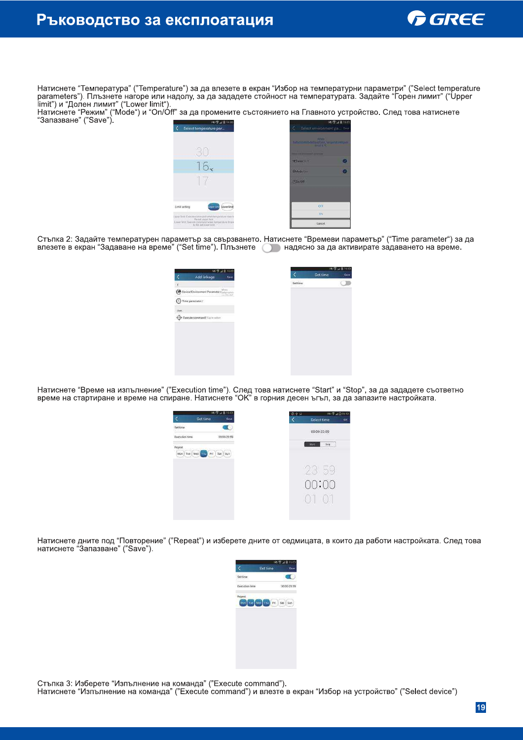Натиснете "Температура" ("Temperature") за да влезете в екран "Избор на температурни параметри" ("Select temperature parameters"). Плъзнете нагоре или надолу, за да зададете стойност на температурата. Задайте "Горен лимит" ("Upper

раганется у гипьмете нагоре или надолу, за да зададете стоиност на температурата. Задайте торен лимит (Ор<br>limit") и "Долен лимит" ("Lower limit").<br>Натиснете "Режим" ("Mode") и "On/Off" за да промените състоянието на Главн

Polant tommarsh  $16.5$ 

Стъпка 2: Задайте температурен параметър за свързването. Натиснете "Времеви параметър" ("Time parameter") за да<br>влезете в екран "Задаване на време" ("Set time"). Плъзнете и падясно за да активирате задаването на време.

**Controllovironment Parameter/man**  $\bigodot$  Time param

 $\Lambda$  reason comparation is also

Натиснете "Време на изпълнение" ("Execution time"). След това натиснете "Start" и "Stop", за да зададете съответно време на стартиране и време на спиране. Натиснете "ОК" в горния десен ъгъл, за да запазите настройката.

 $\overline{\mathbf{r}}$ 

Mon Tue Wed turn Fil Sat Sun

Натиснете дните под "Повторение" ("Repeat") и изберете дните от седмицата, в които да работи настройката. След това натиснете "Запазване" ("Save").

Стъпка 3: Изберете "Изпълнение на команда" ("Execute command"). Натиснете "Изпълнение на команда" ("Execute command") и влезте в екран "Избор на устройство" ("Select device")





Settime

Splact time

00:00:23:59 start stop

23 59  $00:00$ 

CW



|--|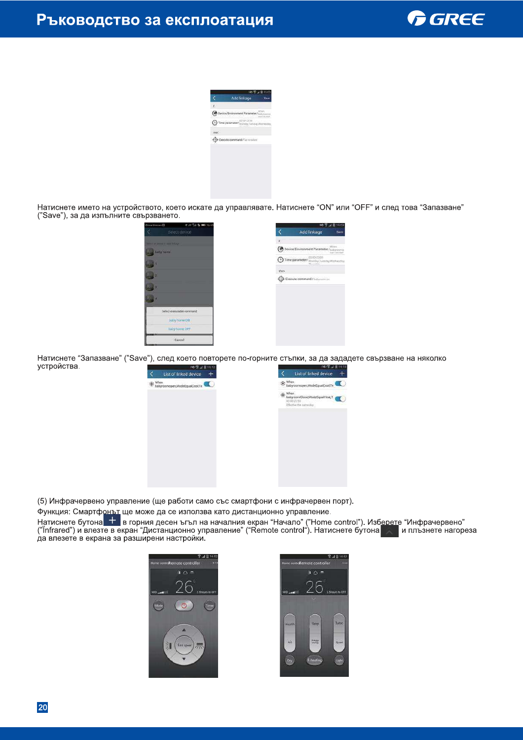



Натиснете името на устройството, което искате да управлявате. Натиснете "ON" или "OFF" и след това "Запазване" ("Save"), за да изпълните свързването.





Натиснете "Запазване" ("Save"), след което повторете по-горните стъпки, за да зададете свързване на няколко устройства.

| the control of the control of the con-    | and the company's property                                                          |  |  |
|-------------------------------------------|-------------------------------------------------------------------------------------|--|--|
| List of linked device<br>$^+$             | List of linked device<br>$\,{}^+$<br>c.                                             |  |  |
| Went<br>The babyroomopen ModeEqualCool,Te | 兴 When<br>dr babyroomopen.ModeEqualCool,Te                                          |  |  |
|                                           | : 6: When<br>babyroomClose,ModeEqualHeat,T<br>00:00-23:50<br>Effective the same day |  |  |
|                                           |                                                                                     |  |  |
|                                           |                                                                                     |  |  |
|                                           |                                                                                     |  |  |
|                                           |                                                                                     |  |  |
|                                           |                                                                                     |  |  |

(5) Инфрачервено управление (ще работи само със смартфони с инфрачервен порт).

(с) / переда престо управления (да се използва като дистанционно управление.<br>Функция: Смартфонът ще може да се използва като дистанционно управление.<br>("Infrared") и влезте в екран "Дистанционно управление" ("Remote contro да влезете в екрана за разширени настройки.



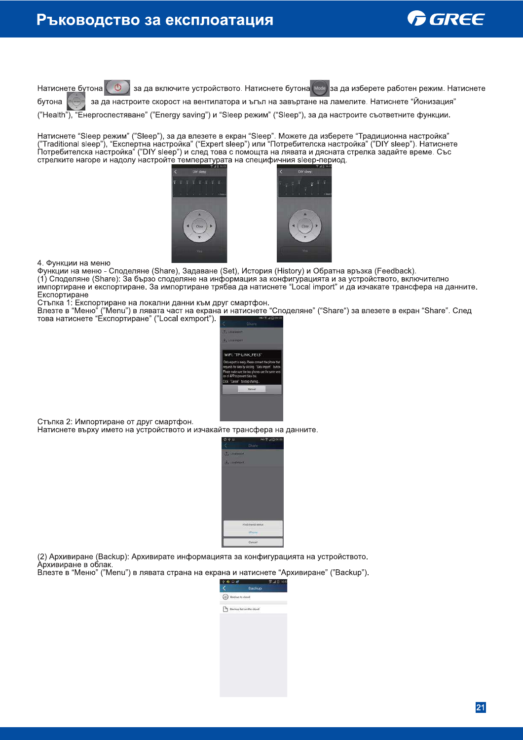

Натиснете бутона за да включите устройството. Натиснете бутона мые за да изберете работен режим. Натиснете

за да настроите скорост на вентилатора и ъгъл на завъртане на ламелите. Натиснете "Йонизация" бутона

("Health"), "Енергоспестяване" ("Energy saving") и "Sleep режим" ("Sleep"), за да настроите съответните функции.

Натиснете "Sleep режим" ("Sleep"), за да влезете в екран "Sleep". Можете да изберете "Традиционна настройка" с станительно с сосудении по тем, не да в сосудении с сосудения и постройка и детройка" ("DIY sleep"). Натиснете<br>Потребителска настройка" ("DIY sleep") и след това с помощта на лявата и дясната стрелка задайте време. Със стрелките нагоре и надолу настройте температурата на специфичния sleep-период.



4. Функции на меню

Функции на меню - Споделяне (Share), Задаване (Set), История (History) и Обратна връзка (Feedback). (1) Споделяне (Share): За бързо споделяне на информация за конфигурацията и за устройството, включително импортиране и експортиране. За импортиране трябва да натиснете "Local import" и да изчакате трансфера на данните. Експортиране

– Стъпка 1: Експортиране на локални данни към друг смартфон.<br>Влезте в "Меню" ("Menu") в лявата част на екрана и натиснете "Споделяне" ("Share") за влезете в екран "Share". След<br>това натиснете "Експортиране" ("Local exmpor



Стъпка 2: Импортиране от друг смартфон.

Натиснете върху името на устройството и изчакайте трансфера на данните.



(2) Архивиране (Backup): Архивирате информацията за конфигурацията на устройството. Архивиране в облак.

Влезте в "Меню" ("Menu") в лявата страна на екрана и натиснете "Архивиране" ("Backup").